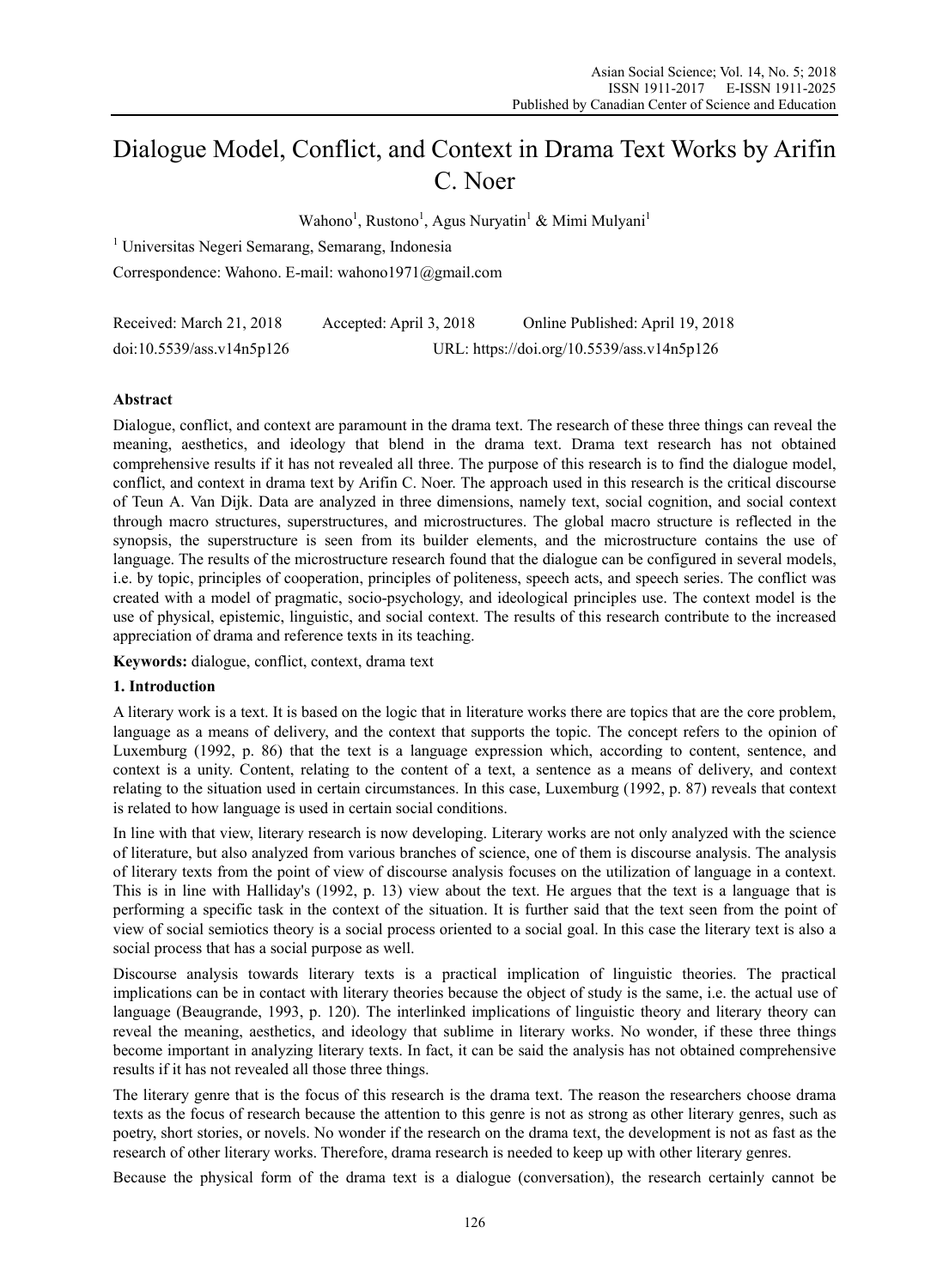# Dialogue Model, Conflict, and Context in Drama Text Works by Arifin C. Noer

Wahono<sup>1</sup>, Rustono<sup>1</sup>, Agus Nuryatin<sup>1</sup> & Mimi Mulyani<sup>1</sup>

<sup>1</sup> Universitas Negeri Semarang, Semarang, Indonesia

Correspondence: Wahono. E-mail: wahono1971@gmail.com

| Received: March 21, 2018  | Accepted: April 3, 2018 | Online Published: April 19, 2018           |
|---------------------------|-------------------------|--------------------------------------------|
| doi:10.5539/ass.v14n5p126 |                         | URL: https://doi.org/10.5539/ass.v14n5p126 |

# **Abstract**

Dialogue, conflict, and context are paramount in the drama text. The research of these three things can reveal the meaning, aesthetics, and ideology that blend in the drama text. Drama text research has not obtained comprehensive results if it has not revealed all three. The purpose of this research is to find the dialogue model, conflict, and context in drama text by Arifin C. Noer. The approach used in this research is the critical discourse of Teun A. Van Dijk. Data are analyzed in three dimensions, namely text, social cognition, and social context through macro structures, superstructures, and microstructures. The global macro structure is reflected in the synopsis, the superstructure is seen from its builder elements, and the microstructure contains the use of language. The results of the microstructure research found that the dialogue can be configured in several models, i.e. by topic, principles of cooperation, principles of politeness, speech acts, and speech series. The conflict was created with a model of pragmatic, socio-psychology, and ideological principles use. The context model is the use of physical, epistemic, linguistic, and social context. The results of this research contribute to the increased appreciation of drama and reference texts in its teaching.

**Keywords:** dialogue, conflict, context, drama text

# **1. Introduction**

A literary work is a text. It is based on the logic that in literature works there are topics that are the core problem, language as a means of delivery, and the context that supports the topic. The concept refers to the opinion of Luxemburg (1992, p. 86) that the text is a language expression which, according to content, sentence, and context is a unity. Content, relating to the content of a text, a sentence as a means of delivery, and context relating to the situation used in certain circumstances. In this case, Luxemburg (1992, p. 87) reveals that context is related to how language is used in certain social conditions.

In line with that view, literary research is now developing. Literary works are not only analyzed with the science of literature, but also analyzed from various branches of science, one of them is discourse analysis. The analysis of literary texts from the point of view of discourse analysis focuses on the utilization of language in a context. This is in line with Halliday's (1992, p. 13) view about the text. He argues that the text is a language that is performing a specific task in the context of the situation. It is further said that the text seen from the point of view of social semiotics theory is a social process oriented to a social goal. In this case the literary text is also a social process that has a social purpose as well.

Discourse analysis towards literary texts is a practical implication of linguistic theories. The practical implications can be in contact with literary theories because the object of study is the same, i.e. the actual use of language (Beaugrande, 1993, p. 120). The interlinked implications of linguistic theory and literary theory can reveal the meaning, aesthetics, and ideology that sublime in literary works. No wonder, if these three things become important in analyzing literary texts. In fact, it can be said the analysis has not obtained comprehensive results if it has not revealed all those three things.

The literary genre that is the focus of this research is the drama text. The reason the researchers choose drama texts as the focus of research because the attention to this genre is not as strong as other literary genres, such as poetry, short stories, or novels. No wonder if the research on the drama text, the development is not as fast as the research of other literary works. Therefore, drama research is needed to keep up with other literary genres.

Because the physical form of the drama text is a dialogue (conversation), the research certainly cannot be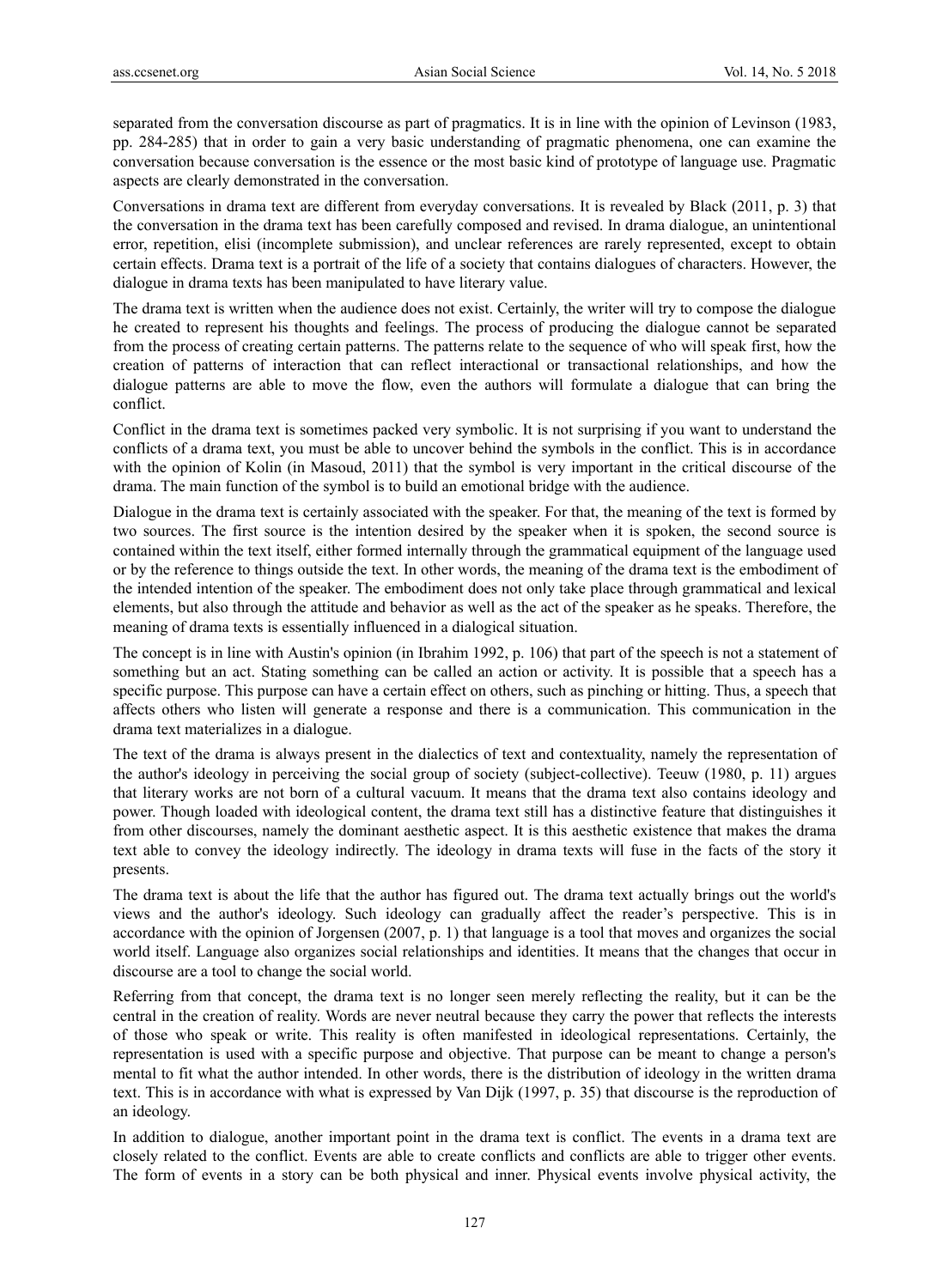separated from the conversation discourse as part of pragmatics. It is in line with the opinion of Levinson (1983, pp. 284-285) that in order to gain a very basic understanding of pragmatic phenomena, one can examine the conversation because conversation is the essence or the most basic kind of prototype of language use. Pragmatic aspects are clearly demonstrated in the conversation.

Conversations in drama text are different from everyday conversations. It is revealed by Black (2011, p. 3) that the conversation in the drama text has been carefully composed and revised. In drama dialogue, an unintentional error, repetition, elisi (incomplete submission), and unclear references are rarely represented, except to obtain certain effects. Drama text is a portrait of the life of a society that contains dialogues of characters. However, the dialogue in drama texts has been manipulated to have literary value.

The drama text is written when the audience does not exist. Certainly, the writer will try to compose the dialogue he created to represent his thoughts and feelings. The process of producing the dialogue cannot be separated from the process of creating certain patterns. The patterns relate to the sequence of who will speak first, how the creation of patterns of interaction that can reflect interactional or transactional relationships, and how the dialogue patterns are able to move the flow, even the authors will formulate a dialogue that can bring the conflict.

Conflict in the drama text is sometimes packed very symbolic. It is not surprising if you want to understand the conflicts of a drama text, you must be able to uncover behind the symbols in the conflict. This is in accordance with the opinion of Kolin (in Masoud, 2011) that the symbol is very important in the critical discourse of the drama. The main function of the symbol is to build an emotional bridge with the audience.

Dialogue in the drama text is certainly associated with the speaker. For that, the meaning of the text is formed by two sources. The first source is the intention desired by the speaker when it is spoken, the second source is contained within the text itself, either formed internally through the grammatical equipment of the language used or by the reference to things outside the text. In other words, the meaning of the drama text is the embodiment of the intended intention of the speaker. The embodiment does not only take place through grammatical and lexical elements, but also through the attitude and behavior as well as the act of the speaker as he speaks. Therefore, the meaning of drama texts is essentially influenced in a dialogical situation.

The concept is in line with Austin's opinion (in Ibrahim 1992, p. 106) that part of the speech is not a statement of something but an act. Stating something can be called an action or activity. It is possible that a speech has a specific purpose. This purpose can have a certain effect on others, such as pinching or hitting. Thus, a speech that affects others who listen will generate a response and there is a communication. This communication in the drama text materializes in a dialogue.

The text of the drama is always present in the dialectics of text and contextuality, namely the representation of the author's ideology in perceiving the social group of society (subject-collective). Teeuw (1980, p. 11) argues that literary works are not born of a cultural vacuum. It means that the drama text also contains ideology and power. Though loaded with ideological content, the drama text still has a distinctive feature that distinguishes it from other discourses, namely the dominant aesthetic aspect. It is this aesthetic existence that makes the drama text able to convey the ideology indirectly. The ideology in drama texts will fuse in the facts of the story it presents.

The drama text is about the life that the author has figured out. The drama text actually brings out the world's views and the author's ideology. Such ideology can gradually affect the reader's perspective. This is in accordance with the opinion of Jorgensen (2007, p. 1) that language is a tool that moves and organizes the social world itself. Language also organizes social relationships and identities. It means that the changes that occur in discourse are a tool to change the social world.

Referring from that concept, the drama text is no longer seen merely reflecting the reality, but it can be the central in the creation of reality. Words are never neutral because they carry the power that reflects the interests of those who speak or write. This reality is often manifested in ideological representations. Certainly, the representation is used with a specific purpose and objective. That purpose can be meant to change a person's mental to fit what the author intended. In other words, there is the distribution of ideology in the written drama text. This is in accordance with what is expressed by Van Dijk (1997, p. 35) that discourse is the reproduction of an ideology.

In addition to dialogue, another important point in the drama text is conflict. The events in a drama text are closely related to the conflict. Events are able to create conflicts and conflicts are able to trigger other events. The form of events in a story can be both physical and inner. Physical events involve physical activity, the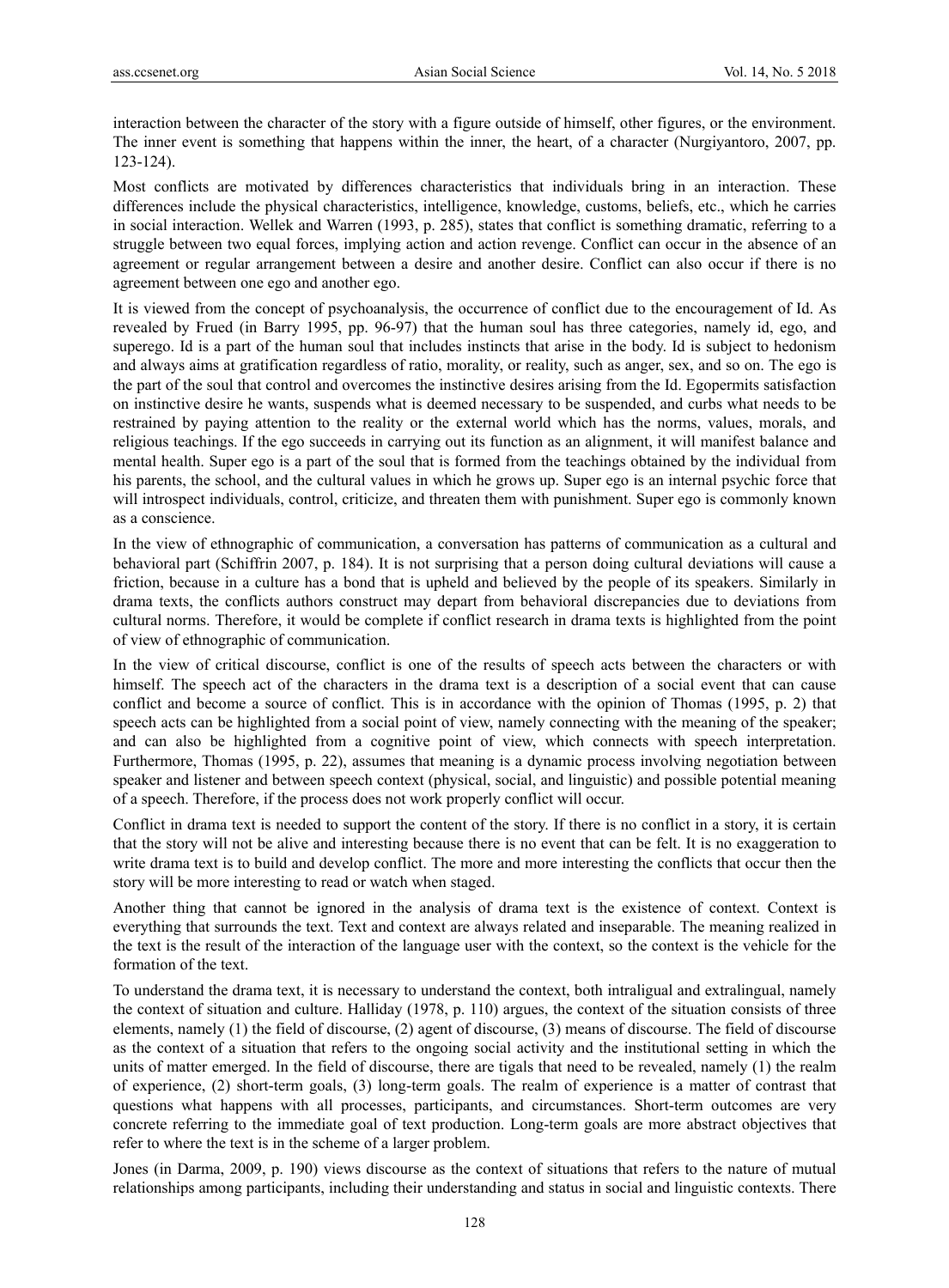interaction between the character of the story with a figure outside of himself, other figures, or the environment. The inner event is something that happens within the inner, the heart, of a character (Nurgiyantoro, 2007, pp. 123-124).

Most conflicts are motivated by differences characteristics that individuals bring in an interaction. These differences include the physical characteristics, intelligence, knowledge, customs, beliefs, etc., which he carries in social interaction. Wellek and Warren (1993, p. 285), states that conflict is something dramatic, referring to a struggle between two equal forces, implying action and action revenge. Conflict can occur in the absence of an agreement or regular arrangement between a desire and another desire. Conflict can also occur if there is no agreement between one ego and another ego.

It is viewed from the concept of psychoanalysis, the occurrence of conflict due to the encouragement of Id. As revealed by Frued (in Barry 1995, pp. 96-97) that the human soul has three categories, namely id, ego, and superego. Id is a part of the human soul that includes instincts that arise in the body. Id is subject to hedonism and always aims at gratification regardless of ratio, morality, or reality, such as anger, sex, and so on. The ego is the part of the soul that control and overcomes the instinctive desires arising from the Id. Egopermits satisfaction on instinctive desire he wants, suspends what is deemed necessary to be suspended, and curbs what needs to be restrained by paying attention to the reality or the external world which has the norms, values, morals, and religious teachings. If the ego succeeds in carrying out its function as an alignment, it will manifest balance and mental health. Super ego is a part of the soul that is formed from the teachings obtained by the individual from his parents, the school, and the cultural values in which he grows up. Super ego is an internal psychic force that will introspect individuals, control, criticize, and threaten them with punishment. Super ego is commonly known as a conscience.

In the view of ethnographic of communication, a conversation has patterns of communication as a cultural and behavioral part (Schiffrin 2007, p. 184). It is not surprising that a person doing cultural deviations will cause a friction, because in a culture has a bond that is upheld and believed by the people of its speakers. Similarly in drama texts, the conflicts authors construct may depart from behavioral discrepancies due to deviations from cultural norms. Therefore, it would be complete if conflict research in drama texts is highlighted from the point of view of ethnographic of communication.

In the view of critical discourse, conflict is one of the results of speech acts between the characters or with himself. The speech act of the characters in the drama text is a description of a social event that can cause conflict and become a source of conflict. This is in accordance with the opinion of Thomas (1995, p. 2) that speech acts can be highlighted from a social point of view, namely connecting with the meaning of the speaker; and can also be highlighted from a cognitive point of view, which connects with speech interpretation. Furthermore, Thomas (1995, p. 22), assumes that meaning is a dynamic process involving negotiation between speaker and listener and between speech context (physical, social, and linguistic) and possible potential meaning of a speech. Therefore, if the process does not work properly conflict will occur.

Conflict in drama text is needed to support the content of the story. If there is no conflict in a story, it is certain that the story will not be alive and interesting because there is no event that can be felt. It is no exaggeration to write drama text is to build and develop conflict. The more and more interesting the conflicts that occur then the story will be more interesting to read or watch when staged.

Another thing that cannot be ignored in the analysis of drama text is the existence of context. Context is everything that surrounds the text. Text and context are always related and inseparable. The meaning realized in the text is the result of the interaction of the language user with the context, so the context is the vehicle for the formation of the text.

To understand the drama text, it is necessary to understand the context, both intraligual and extralingual, namely the context of situation and culture. Halliday (1978, p. 110) argues, the context of the situation consists of three elements, namely (1) the field of discourse, (2) agent of discourse, (3) means of discourse. The field of discourse as the context of a situation that refers to the ongoing social activity and the institutional setting in which the units of matter emerged. In the field of discourse, there are tigals that need to be revealed, namely (1) the realm of experience, (2) short-term goals, (3) long-term goals. The realm of experience is a matter of contrast that questions what happens with all processes, participants, and circumstances. Short-term outcomes are very concrete referring to the immediate goal of text production. Long-term goals are more abstract objectives that refer to where the text is in the scheme of a larger problem.

Jones (in Darma, 2009, p. 190) views discourse as the context of situations that refers to the nature of mutual relationships among participants, including their understanding and status in social and linguistic contexts. There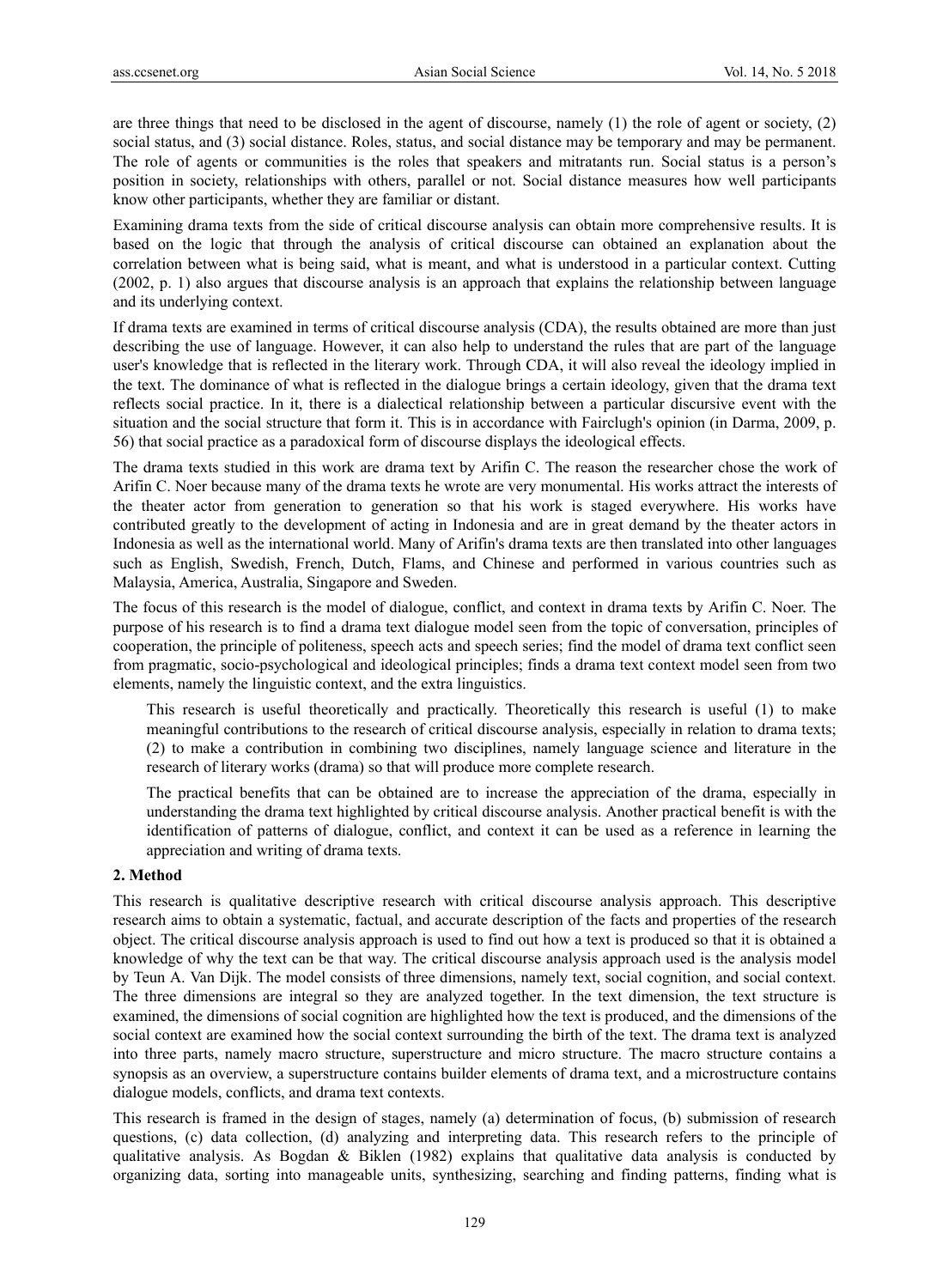are three things that need to be disclosed in the agent of discourse, namely (1) the role of agent or society, (2) social status, and (3) social distance. Roles, status, and social distance may be temporary and may be permanent. The role of agents or communities is the roles that speakers and mitratants run. Social status is a person's position in society, relationships with others, parallel or not. Social distance measures how well participants know other participants, whether they are familiar or distant.

Examining drama texts from the side of critical discourse analysis can obtain more comprehensive results. It is based on the logic that through the analysis of critical discourse can obtained an explanation about the correlation between what is being said, what is meant, and what is understood in a particular context. Cutting (2002, p. 1) also argues that discourse analysis is an approach that explains the relationship between language and its underlying context.

If drama texts are examined in terms of critical discourse analysis (CDA), the results obtained are more than just describing the use of language. However, it can also help to understand the rules that are part of the language user's knowledge that is reflected in the literary work. Through CDA, it will also reveal the ideology implied in the text. The dominance of what is reflected in the dialogue brings a certain ideology, given that the drama text reflects social practice. In it, there is a dialectical relationship between a particular discursive event with the situation and the social structure that form it. This is in accordance with Fairclugh's opinion (in Darma, 2009, p. 56) that social practice as a paradoxical form of discourse displays the ideological effects.

The drama texts studied in this work are drama text by Arifin C. The reason the researcher chose the work of Arifin C. Noer because many of the drama texts he wrote are very monumental. His works attract the interests of the theater actor from generation to generation so that his work is staged everywhere. His works have contributed greatly to the development of acting in Indonesia and are in great demand by the theater actors in Indonesia as well as the international world. Many of Arifin's drama texts are then translated into other languages such as English, Swedish, French, Dutch, Flams, and Chinese and performed in various countries such as Malaysia, America, Australia, Singapore and Sweden.

The focus of this research is the model of dialogue, conflict, and context in drama texts by Arifin C. Noer. The purpose of his research is to find a drama text dialogue model seen from the topic of conversation, principles of cooperation, the principle of politeness, speech acts and speech series; find the model of drama text conflict seen from pragmatic, socio-psychological and ideological principles; finds a drama text context model seen from two elements, namely the linguistic context, and the extra linguistics.

This research is useful theoretically and practically. Theoretically this research is useful (1) to make meaningful contributions to the research of critical discourse analysis, especially in relation to drama texts; (2) to make a contribution in combining two disciplines, namely language science and literature in the research of literary works (drama) so that will produce more complete research.

The practical benefits that can be obtained are to increase the appreciation of the drama, especially in understanding the drama text highlighted by critical discourse analysis. Another practical benefit is with the identification of patterns of dialogue, conflict, and context it can be used as a reference in learning the appreciation and writing of drama texts.

#### **2. Method**

This research is qualitative descriptive research with critical discourse analysis approach. This descriptive research aims to obtain a systematic, factual, and accurate description of the facts and properties of the research object. The critical discourse analysis approach is used to find out how a text is produced so that it is obtained a knowledge of why the text can be that way. The critical discourse analysis approach used is the analysis model by Teun A. Van Dijk. The model consists of three dimensions, namely text, social cognition, and social context. The three dimensions are integral so they are analyzed together. In the text dimension, the text structure is examined, the dimensions of social cognition are highlighted how the text is produced, and the dimensions of the social context are examined how the social context surrounding the birth of the text. The drama text is analyzed into three parts, namely macro structure, superstructure and micro structure. The macro structure contains a synopsis as an overview, a superstructure contains builder elements of drama text, and a microstructure contains dialogue models, conflicts, and drama text contexts.

This research is framed in the design of stages, namely (a) determination of focus, (b) submission of research questions, (c) data collection, (d) analyzing and interpreting data. This research refers to the principle of qualitative analysis. As Bogdan & Biklen (1982) explains that qualitative data analysis is conducted by organizing data, sorting into manageable units, synthesizing, searching and finding patterns, finding what is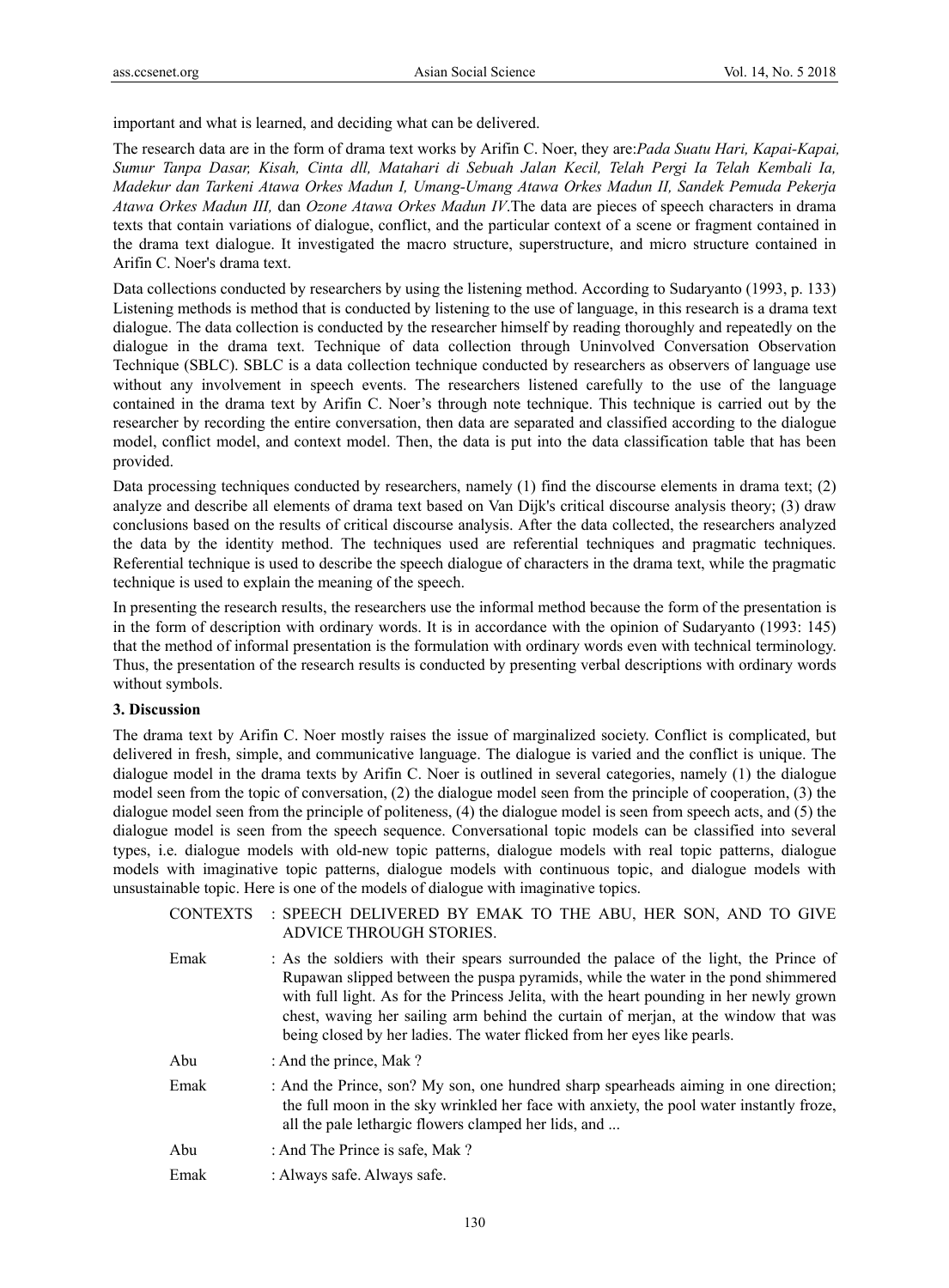important and what is learned, and deciding what can be delivered.

The research data are in the form of drama text works by Arifin C. Noer, they are:*Pada Suatu Hari, Kapai-Kapai, Sumur Tanpa Dasar, Kisah, Cinta dll, Matahari di Sebuah Jalan Kecil, Telah Pergi Ia Telah Kembali Ia, Madekur dan Tarkeni Atawa Orkes Madun I, Umang-Umang Atawa Orkes Madun II, Sandek Pemuda Pekerja Atawa Orkes Madun III,* dan *Ozone Atawa Orkes Madun IV*.The data are pieces of speech characters in drama texts that contain variations of dialogue, conflict, and the particular context of a scene or fragment contained in the drama text dialogue. It investigated the macro structure, superstructure, and micro structure contained in Arifin C. Noer's drama text.

Data collections conducted by researchers by using the listening method. According to Sudaryanto (1993, p. 133) Listening methods is method that is conducted by listening to the use of language, in this research is a drama text dialogue. The data collection is conducted by the researcher himself by reading thoroughly and repeatedly on the dialogue in the drama text. Technique of data collection through Uninvolved Conversation Observation Technique (SBLC). SBLC is a data collection technique conducted by researchers as observers of language use without any involvement in speech events. The researchers listened carefully to the use of the language contained in the drama text by Arifin C. Noer's through note technique. This technique is carried out by the researcher by recording the entire conversation, then data are separated and classified according to the dialogue model, conflict model, and context model. Then, the data is put into the data classification table that has been provided.

Data processing techniques conducted by researchers, namely (1) find the discourse elements in drama text; (2) analyze and describe all elements of drama text based on Van Dijk's critical discourse analysis theory; (3) draw conclusions based on the results of critical discourse analysis. After the data collected, the researchers analyzed the data by the identity method. The techniques used are referential techniques and pragmatic techniques. Referential technique is used to describe the speech dialogue of characters in the drama text, while the pragmatic technique is used to explain the meaning of the speech.

In presenting the research results, the researchers use the informal method because the form of the presentation is in the form of description with ordinary words. It is in accordance with the opinion of Sudaryanto (1993: 145) that the method of informal presentation is the formulation with ordinary words even with technical terminology. Thus, the presentation of the research results is conducted by presenting verbal descriptions with ordinary words without symbols.

### **3. Discussion**

The drama text by Arifin C. Noer mostly raises the issue of marginalized society. Conflict is complicated, but delivered in fresh, simple, and communicative language. The dialogue is varied and the conflict is unique. The dialogue model in the drama texts by Arifin C. Noer is outlined in several categories, namely (1) the dialogue model seen from the topic of conversation, (2) the dialogue model seen from the principle of cooperation, (3) the dialogue model seen from the principle of politeness, (4) the dialogue model is seen from speech acts, and (5) the dialogue model is seen from the speech sequence. Conversational topic models can be classified into several types, i.e. dialogue models with old-new topic patterns, dialogue models with real topic patterns, dialogue models with imaginative topic patterns, dialogue models with continuous topic, and dialogue models with unsustainable topic. Here is one of the models of dialogue with imaginative topics.

CONTEXTS : SPEECH DELIVERED BY EMAK TO THE ABU, HER SON, AND TO GIVE ADVICE THROUGH STORIES. Emak : As the soldiers with their spears surrounded the palace of the light, the Prince of Rupawan slipped between the puspa pyramids, while the water in the pond shimmered

- with full light. As for the Princess Jelita, with the heart pounding in her newly grown chest, waving her sailing arm behind the curtain of merjan, at the window that was being closed by her ladies. The water flicked from her eyes like pearls.
- Abu : And the prince, Mak ?
- Emak : And the Prince, son? My son, one hundred sharp spearheads aiming in one direction; the full moon in the sky wrinkled her face with anxiety, the pool water instantly froze, all the pale lethargic flowers clamped her lids, and ...
- Abu : And The Prince is safe, Mak ?
- Emak : Always safe. Always safe.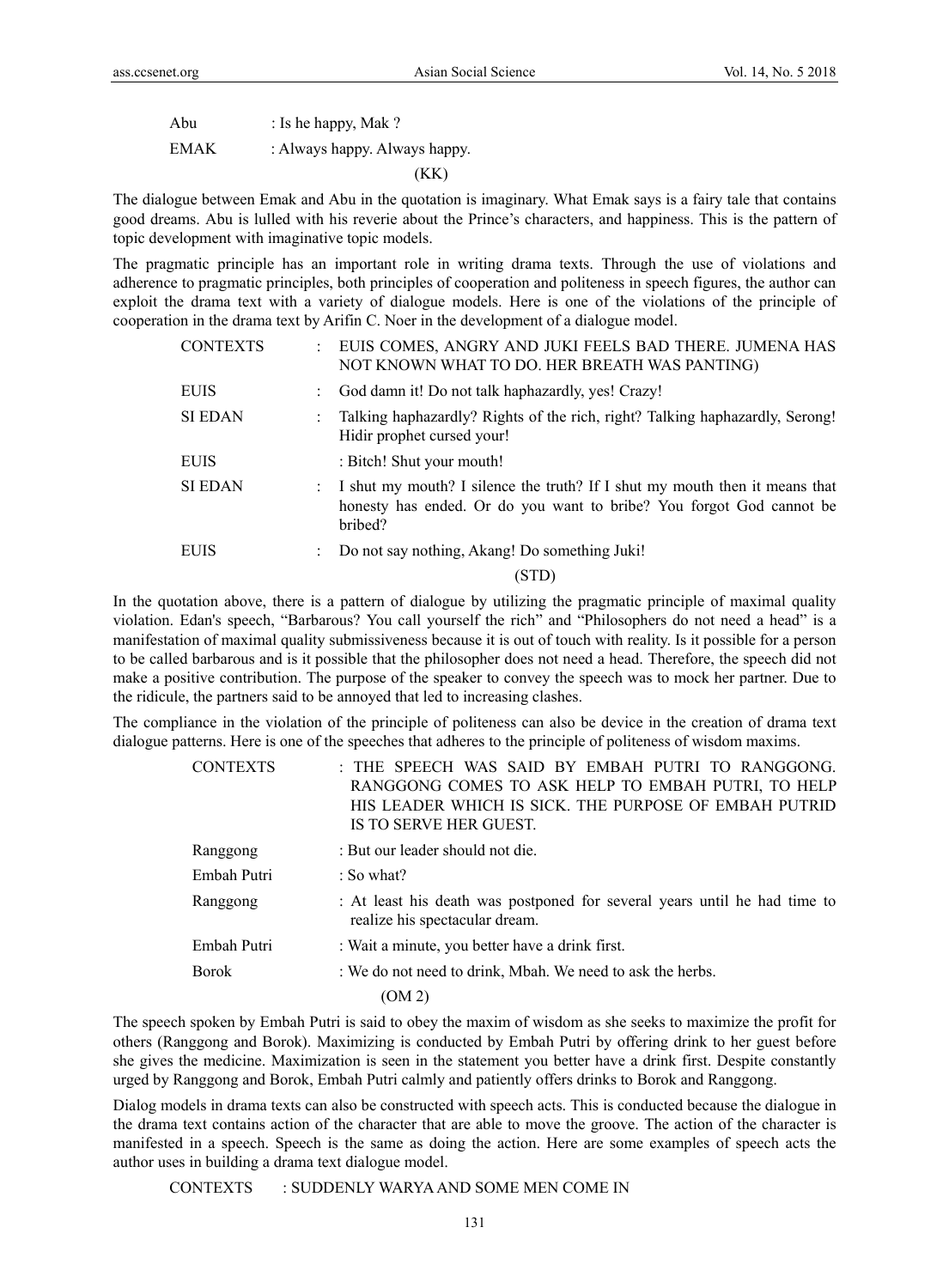Abu : Is he happy, Mak ? EMAK : Always happy. Always happy.

 $(KK)$ 

The dialogue between Emak and Abu in the quotation is imaginary. What Emak says is a fairy tale that contains good dreams. Abu is lulled with his reverie about the Prince's characters, and happiness. This is the pattern of topic development with imaginative topic models.

The pragmatic principle has an important role in writing drama texts. Through the use of violations and adherence to pragmatic principles, both principles of cooperation and politeness in speech figures, the author can exploit the drama text with a variety of dialogue models. Here is one of the violations of the principle of cooperation in the drama text by Arifin C. Noer in the development of a dialogue model.

| <b>CONTEXTS</b> | EUIS COMES, ANGRY AND JUKI FEELS BAD THERE. JUMENA HAS<br>NOT KNOWN WHAT TO DO. HER BREATH WAS PANTING)                                                          |
|-----------------|------------------------------------------------------------------------------------------------------------------------------------------------------------------|
| <b>EUIS</b>     | God damn it! Do not talk haphazardly, yes! Crazy!                                                                                                                |
| <b>SI EDAN</b>  | Talking haphazardly? Rights of the rich, right? Talking haphazardly, Serong!<br>Hidir prophet cursed your!                                                       |
| <b>EUIS</b>     | : Bitch! Shut your mouth!                                                                                                                                        |
| <b>SI EDAN</b>  | : I shut my mouth? I silence the truth? If I shut my mouth then it means that<br>honesty has ended. Or do you want to bribe? You forgot God cannot be<br>bribed? |
| <b>EUIS</b>     | Do not say nothing, Akang! Do something Juki!                                                                                                                    |
|                 | (STD)                                                                                                                                                            |

In the quotation above, there is a pattern of dialogue by utilizing the pragmatic principle of maximal quality violation. Edan's speech, "Barbarous? You call yourself the rich" and "Philosophers do not need a head" is a manifestation of maximal quality submissiveness because it is out of touch with reality. Is it possible for a person to be called barbarous and is it possible that the philosopher does not need a head. Therefore, the speech did not make a positive contribution. The purpose of the speaker to convey the speech was to mock her partner. Due to the ridicule, the partners said to be annoyed that led to increasing clashes.

The compliance in the violation of the principle of politeness can also be device in the creation of drama text dialogue patterns. Here is one of the speeches that adheres to the principle of politeness of wisdom maxims.

| <b>CONTEXTS</b> | : THE SPEECH WAS SAID BY EMBAH PUTRI TO RANGGONG.<br>RANGGONG COMES TO ASK HELP TO EMBAH PUTRI, TO HELP<br>HIS LEADER WHICH IS SICK. THE PURPOSE OF EMBAH PUTRID<br>IS TO SERVE HER GUEST. |
|-----------------|--------------------------------------------------------------------------------------------------------------------------------------------------------------------------------------------|
| Ranggong        | : But our leader should not die.                                                                                                                                                           |
| Embah Putri     | : So what?                                                                                                                                                                                 |
| Ranggong        | : At least his death was postponed for several years until he had time to<br>realize his spectacular dream.                                                                                |
| Embah Putri     | : Wait a minute, you better have a drink first.                                                                                                                                            |
| <b>Borok</b>    | : We do not need to drink, Mbah. We need to ask the herbs.                                                                                                                                 |
|                 | (OM 2)                                                                                                                                                                                     |

The speech spoken by Embah Putri is said to obey the maxim of wisdom as she seeks to maximize the profit for others (Ranggong and Borok). Maximizing is conducted by Embah Putri by offering drink to her guest before she gives the medicine. Maximization is seen in the statement you better have a drink first. Despite constantly urged by Ranggong and Borok, Embah Putri calmly and patiently offers drinks to Borok and Ranggong.

Dialog models in drama texts can also be constructed with speech acts. This is conducted because the dialogue in the drama text contains action of the character that are able to move the groove. The action of the character is manifested in a speech. Speech is the same as doing the action. Here are some examples of speech acts the author uses in building a drama text dialogue model.

CONTEXTS : SUDDENLY WARYA AND SOME MEN COME IN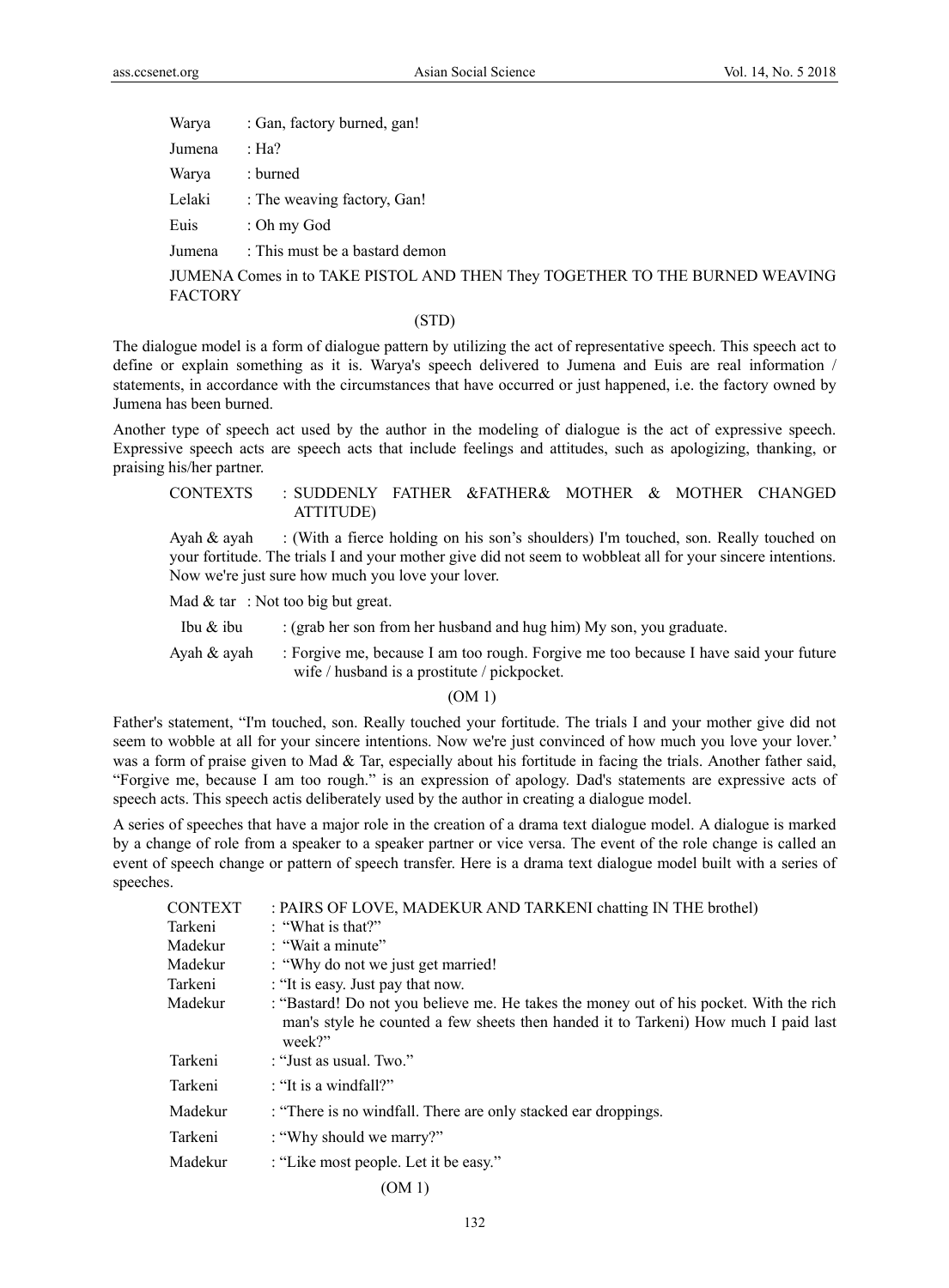Warya : Gan, factory burned, gan!

Jumena : Ha?

Warya : burned

Lelaki : The weaving factory, Gan!

Euis : Oh my God

Jumena : This must be a bastard demon

JUMENA Comes in to TAKE PISTOL AND THEN They TOGETHER TO THE BURNED WEAVING FACTORY

#### (STD)

The dialogue model is a form of dialogue pattern by utilizing the act of representative speech. This speech act to define or explain something as it is. Warya's speech delivered to Jumena and Euis are real information / statements, in accordance with the circumstances that have occurred or just happened, i.e. the factory owned by Jumena has been burned.

Another type of speech act used by the author in the modeling of dialogue is the act of expressive speech. Expressive speech acts are speech acts that include feelings and attitudes, such as apologizing, thanking, or praising his/her partner.

## CONTEXTS : SUDDENLY FATHER &FATHER& MOTHER & MOTHER CHANGED ATTITUDE)

Ayah & ayah : (With a fierce holding on his son's shoulders) I'm touched, son. Really touched on your fortitude. The trials I and your mother give did not seem to wobbleat all for your sincere intentions. Now we're just sure how much you love your lover.

Mad  $& \text{tar} : \text{Not too big but great.}$ 

Ibu & ibu : (grab her son from her husband and hug him) My son, you graduate.

Ayah & ayah : Forgive me, because I am too rough. Forgive me too because I have said your future wife / husband is a prostitute / pickpocket.

(OM 1)

Father's statement, "I'm touched, son. Really touched your fortitude. The trials I and your mother give did not seem to wobble at all for your sincere intentions. Now we're just convinced of how much you love your lover.' was a form of praise given to Mad & Tar, especially about his fortitude in facing the trials. Another father said, "Forgive me, because I am too rough." is an expression of apology. Dad's statements are expressive acts of speech acts. This speech actis deliberately used by the author in creating a dialogue model.

A series of speeches that have a major role in the creation of a drama text dialogue model. A dialogue is marked by a change of role from a speaker to a speaker partner or vice versa. The event of the role change is called an event of speech change or pattern of speech transfer. Here is a drama text dialogue model built with a series of speeches.

| CONTEXT | : PAIRS OF LOVE, MADEKUR AND TARKENI chatting IN THE brothel)                                                                                                                           |
|---------|-----------------------------------------------------------------------------------------------------------------------------------------------------------------------------------------|
| Tarkeni | : "What is that?"                                                                                                                                                                       |
| Madekur | $\therefore$ "Wait a minute"                                                                                                                                                            |
| Madekur | : "Why do not we just get married!"                                                                                                                                                     |
| Tarkeni | : "It is easy. Just pay that now.                                                                                                                                                       |
| Madekur | : "Bastard! Do not you believe me. He takes the money out of his pocket. With the rich<br>man's style he counted a few sheets then handed it to Tarkeni) How much I paid last<br>week?" |
| Tarkeni | : "Just as usual. Two."                                                                                                                                                                 |
| Tarkeni | : "It is a windfall?"                                                                                                                                                                   |
| Madekur | : "There is no windfall. There are only stacked ear droppings.                                                                                                                          |
| Tarkeni | : "Why should we marry?"                                                                                                                                                                |
| Madekur | : "Like most people. Let it be easy."                                                                                                                                                   |
|         |                                                                                                                                                                                         |

(OM 1)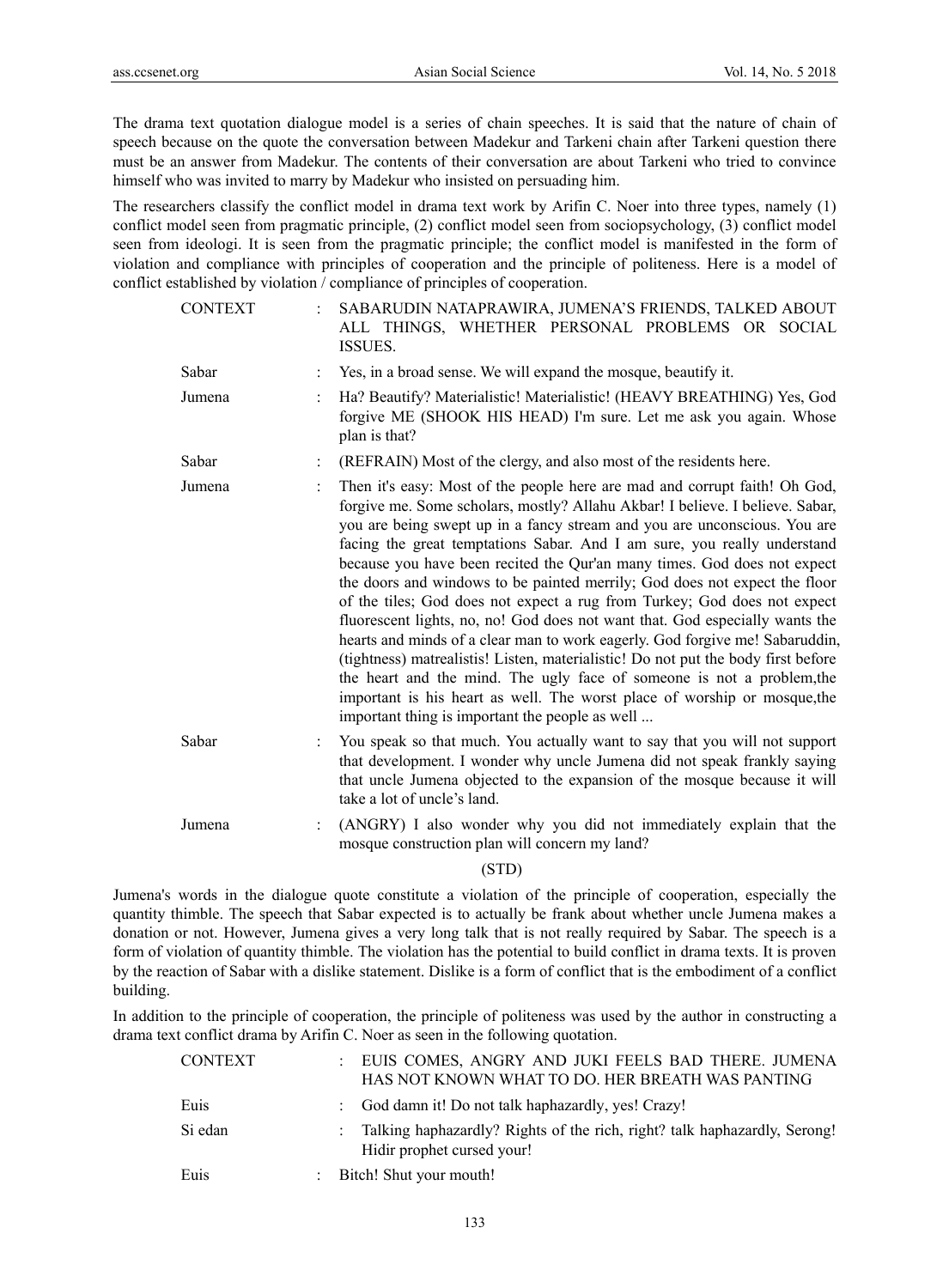The drama text quotation dialogue model is a series of chain speeches. It is said that the nature of chain of speech because on the quote the conversation between Madekur and Tarkeni chain after Tarkeni question there must be an answer from Madekur. The contents of their conversation are about Tarkeni who tried to convince himself who was invited to marry by Madekur who insisted on persuading him.

The researchers classify the conflict model in drama text work by Arifin C. Noer into three types, namely (1) conflict model seen from pragmatic principle, (2) conflict model seen from sociopsychology, (3) conflict model seen from ideologi. It is seen from the pragmatic principle; the conflict model is manifested in the form of violation and compliance with principles of cooperation and the principle of politeness. Here is a model of conflict established by violation / compliance of principles of cooperation.

- CONTEXT : SABARUDIN NATAPRAWIRA, JUMENA'S FRIENDS, TALKED ABOUT ALL THINGS, WHETHER PERSONAL PROBLEMS OR SOCIAL ISSUES.
- Sabar : Yes, in a broad sense. We will expand the mosque, beautify it.
- Jumena : Ha? Beautify? Materialistic! Materialistic! (HEAVY BREATHING) Yes, God forgive ME (SHOOK HIS HEAD) I'm sure. Let me ask you again. Whose plan is that?
- Sabar : (REFRAIN) Most of the clergy, and also most of the residents here.
- Jumena : Then it's easy: Most of the people here are mad and corrupt faith! Oh God, forgive me. Some scholars, mostly? Allahu Akbar! I believe. I believe. Sabar, you are being swept up in a fancy stream and you are unconscious. You are facing the great temptations Sabar. And I am sure, you really understand because you have been recited the Qur'an many times. God does not expect the doors and windows to be painted merrily; God does not expect the floor of the tiles; God does not expect a rug from Turkey; God does not expect fluorescent lights, no, no! God does not want that. God especially wants the hearts and minds of a clear man to work eagerly. God forgive me! Sabaruddin, (tightness) matrealistis! Listen, materialistic! Do not put the body first before the heart and the mind. The ugly face of someone is not a problem,the important is his heart as well. The worst place of worship or mosque,the important thing is important the people as well ...
- Sabar : You speak so that much. You actually want to say that you will not support that development. I wonder why uncle Jumena did not speak frankly saying that uncle Jumena objected to the expansion of the mosque because it will take a lot of uncle's land.
- Jumena : (ANGRY) I also wonder why you did not immediately explain that the mosque construction plan will concern my land?

#### (STD)

Jumena's words in the dialogue quote constitute a violation of the principle of cooperation, especially the quantity thimble. The speech that Sabar expected is to actually be frank about whether uncle Jumena makes a donation or not. However, Jumena gives a very long talk that is not really required by Sabar. The speech is a form of violation of quantity thimble. The violation has the potential to build conflict in drama texts. It is proven by the reaction of Sabar with a dislike statement. Dislike is a form of conflict that is the embodiment of a conflict building.

In addition to the principle of cooperation, the principle of politeness was used by the author in constructing a drama text conflict drama by Arifin C. Noer as seen in the following quotation.

| <b>CONTEXT</b> | : EUIS COMES, ANGRY AND JUKI FEELS BAD THERE. JUMENA<br>HAS NOT KNOWN WHAT TO DO. HER BREATH WAS PANTING  |
|----------------|-----------------------------------------------------------------------------------------------------------|
| Euis           | : God damn it! Do not talk haphazardly, yes! Crazy!                                                       |
| Si edan        | : Talking haphazardly? Rights of the rich, right? talk haphazardly, Serong!<br>Hidir prophet cursed your! |
| Euis           | : Bitch! Shut your mouth!                                                                                 |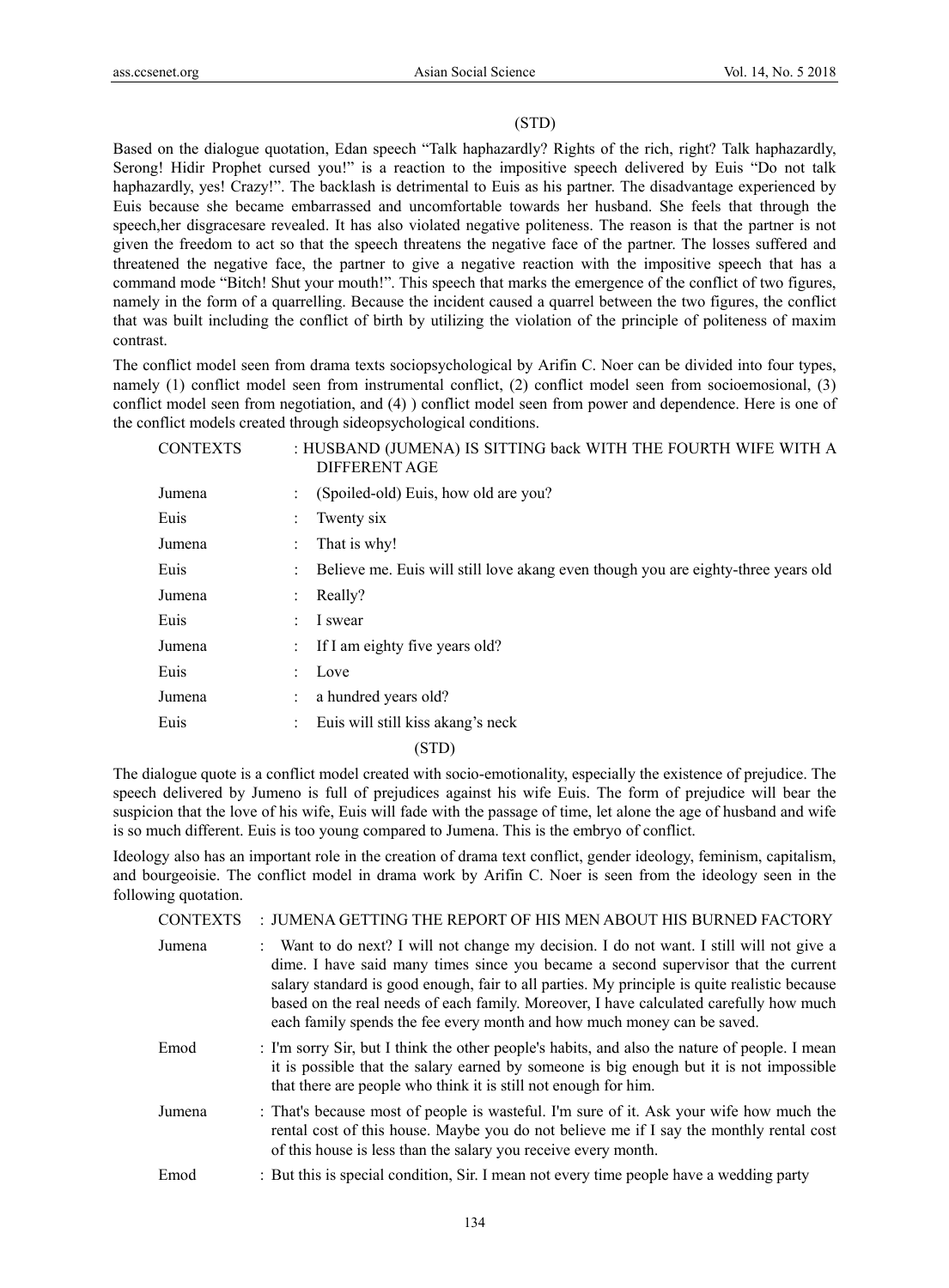# (STD)

Based on the dialogue quotation, Edan speech "Talk haphazardly? Rights of the rich, right? Talk haphazardly, Serong! Hidir Prophet cursed you!" is a reaction to the impositive speech delivered by Euis "Do not talk haphazardly, yes! Crazy!". The backlash is detrimental to Euis as his partner. The disadvantage experienced by Euis because she became embarrassed and uncomfortable towards her husband. She feels that through the speech,her disgracesare revealed. It has also violated negative politeness. The reason is that the partner is not given the freedom to act so that the speech threatens the negative face of the partner. The losses suffered and threatened the negative face, the partner to give a negative reaction with the impositive speech that has a command mode "Bitch! Shut your mouth!". This speech that marks the emergence of the conflict of two figures, namely in the form of a quarrelling. Because the incident caused a quarrel between the two figures, the conflict that was built including the conflict of birth by utilizing the violation of the principle of politeness of maxim contrast.

The conflict model seen from drama texts sociopsychological by Arifin C. Noer can be divided into four types, namely (1) conflict model seen from instrumental conflict, (2) conflict model seen from socioemosional, (3) conflict model seen from negotiation, and (4) ) conflict model seen from power and dependence. Here is one of the conflict models created through sideopsychological conditions.

| <b>CONTEXTS</b> | : HUSBAND (JUMENA) IS SITTING back WITH THE FOURTH WIFE WITH A<br><b>DIFFERENT AGE</b> |
|-----------------|----------------------------------------------------------------------------------------|
| Jumena          | (Spoiled-old) Euis, how old are you?                                                   |
| Euis            | Twenty six                                                                             |
| Jumena          | That is why!                                                                           |
| Euis            | : Believe me. Euis will still love akang even though you are eighty-three years old    |
| Jumena          | Really?                                                                                |
| Euis            | I swear                                                                                |
| Jumena          | : If I am eighty five years old?                                                       |
| Euis            | Love                                                                                   |
| Jumena          | a hundred years old?                                                                   |
| Euis            | Euis will still kiss akang's neck                                                      |
|                 |                                                                                        |

(STD)

The dialogue quote is a conflict model created with socio-emotionality, especially the existence of prejudice. The speech delivered by Jumeno is full of prejudices against his wife Euis. The form of prejudice will bear the suspicion that the love of his wife, Euis will fade with the passage of time, let alone the age of husband and wife is so much different. Euis is too young compared to Jumena. This is the embryo of conflict.

Ideology also has an important role in the creation of drama text conflict, gender ideology, feminism, capitalism, and bourgeoisie. The conflict model in drama work by Arifin C. Noer is seen from the ideology seen in the following quotation.

| <b>CONTEXTS</b> | : JUMENA GETTING THE REPORT OF HIS MEN ABOUT HIS BURNED FACTORY                                                                                                                                                                                                                                                                                                                                                                                     |
|-----------------|-----------------------------------------------------------------------------------------------------------------------------------------------------------------------------------------------------------------------------------------------------------------------------------------------------------------------------------------------------------------------------------------------------------------------------------------------------|
| Jumena          | : Want to do next? I will not change my decision. I do not want. I still will not give a<br>dime. I have said many times since you became a second supervisor that the current<br>salary standard is good enough, fair to all parties. My principle is quite realistic because<br>based on the real needs of each family. Moreover, I have calculated carefully how much<br>each family spends the fee every month and how much money can be saved. |
| Emod            | : I'm sorry Sir, but I think the other people's habits, and also the nature of people. I mean<br>it is possible that the salary earned by someone is big enough but it is not impossible<br>that there are people who think it is still not enough for him.                                                                                                                                                                                         |
| Jumena          | : That's because most of people is wasteful. I'm sure of it. Ask your wife how much the<br>rental cost of this house. Maybe you do not believe me if I say the monthly rental cost<br>of this house is less than the salary you receive every month.                                                                                                                                                                                                |
| Emod            | : But this is special condition, Sir. I mean not every time people have a wedding party                                                                                                                                                                                                                                                                                                                                                             |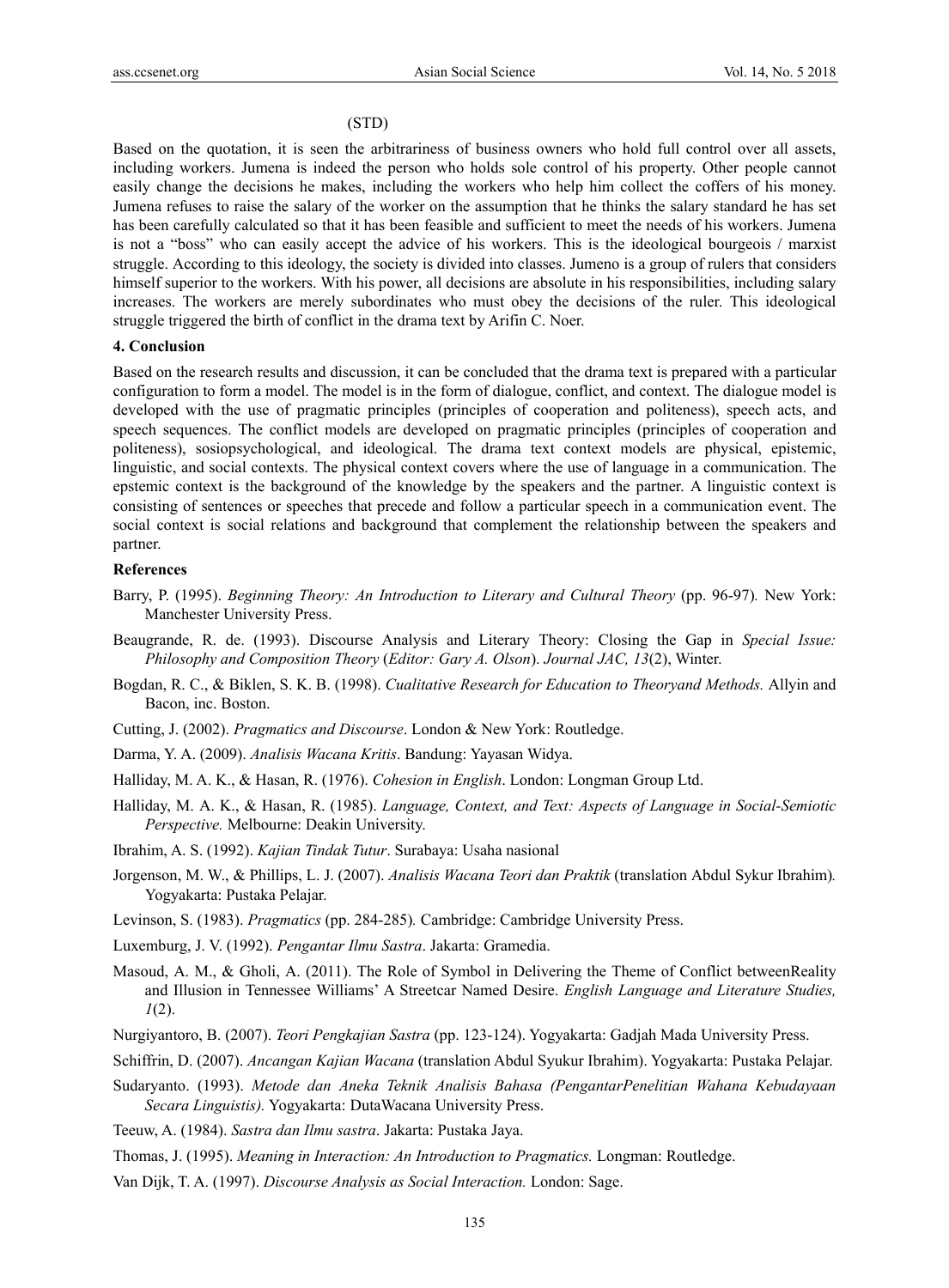## (STD)

Based on the quotation, it is seen the arbitrariness of business owners who hold full control over all assets, including workers. Jumena is indeed the person who holds sole control of his property. Other people cannot easily change the decisions he makes, including the workers who help him collect the coffers of his money. Jumena refuses to raise the salary of the worker on the assumption that he thinks the salary standard he has set has been carefully calculated so that it has been feasible and sufficient to meet the needs of his workers. Jumena is not a "boss" who can easily accept the advice of his workers. This is the ideological bourgeois / marxist struggle. According to this ideology, the society is divided into classes. Jumeno is a group of rulers that considers himself superior to the workers. With his power, all decisions are absolute in his responsibilities, including salary increases. The workers are merely subordinates who must obey the decisions of the ruler. This ideological struggle triggered the birth of conflict in the drama text by Arifin C. Noer.

## **4. Conclusion**

Based on the research results and discussion, it can be concluded that the drama text is prepared with a particular configuration to form a model. The model is in the form of dialogue, conflict, and context. The dialogue model is developed with the use of pragmatic principles (principles of cooperation and politeness), speech acts, and speech sequences. The conflict models are developed on pragmatic principles (principles of cooperation and politeness), sosiopsychological, and ideological. The drama text context models are physical, epistemic, linguistic, and social contexts. The physical context covers where the use of language in a communication. The epstemic context is the background of the knowledge by the speakers and the partner. A linguistic context is consisting of sentences or speeches that precede and follow a particular speech in a communication event. The social context is social relations and background that complement the relationship between the speakers and partner.

## **References**

- Barry, P. (1995). *Beginning Theory: An Introduction to Literary and Cultural Theory (pp. 96-97)*. New York: Manchester University Press.
- Beaugrande, R. de. (1993). Discourse Analysis and Literary Theory: Closing the Gap in *Special Issue: Philosophy and Composition Theory* (*Editor: Gary A. Olson*). *Journal JAC, 13*(2), Winter.
- Bogdan, R. C., & Biklen, S. K. B. (1998). *Cualitative Research for Education to Theoryand Methods.* Allyin and Bacon, inc. Boston.
- Cutting, J. (2002). *Pragmatics and Discourse*. London & New York: Routledge.
- Darma, Y. A. (2009). *Analisis Wacana Kritis*. Bandung: Yayasan Widya.
- Halliday, M. A. K., & Hasan, R. (1976). *Cohesion in English*. London: Longman Group Ltd.
- Halliday, M. A. K., & Hasan, R. (1985). *Language, Context, and Text: Aspects of Language in Social-Semiotic Perspective.* Melbourne: Deakin University.
- Ibrahim, A. S. (1992). *Kajian Tindak Tutur*. Surabaya: Usaha nasional
- Jorgenson, M. W., & Phillips, L. J. (2007). *Analisis Wacana Teori dan Praktik* (translation Abdul Sykur Ibrahim)*.*  Yogyakarta: Pustaka Pelajar.
- Levinson, S. (1983). *Pragmatics* (pp. 284-285)*.* Cambridge: Cambridge University Press.
- Luxemburg, J. V. (1992). *Pengantar Ilmu Sastra*. Jakarta: Gramedia.
- Masoud, A. M., & Gholi, A. (2011). The Role of Symbol in Delivering the Theme of Conflict betweenReality and Illusion in Tennessee Williams' A Streetcar Named Desire. *English Language and Literature Studies, 1*(2).
- Nurgiyantoro, B. (2007). *Teori Pengkajian Sastra* (pp. 123-124). Yogyakarta: Gadjah Mada University Press.
- Schiffrin, D. (2007). *Ancangan Kajian Wacana* (translation Abdul Syukur Ibrahim). Yogyakarta: Pustaka Pelajar.
- Sudaryanto. (1993). *Metode dan Aneka Teknik Analisis Bahasa (PengantarPenelitian Wahana Kebudayaan Secara Linguistis).* Yogyakarta: DutaWacana University Press.
- Teeuw, A. (1984). *Sastra dan Ilmu sastra*. Jakarta: Pustaka Jaya.
- Thomas, J. (1995). *Meaning in Interaction: An Introduction to Pragmatics.* Longman: Routledge.
- Van Dijk, T. A. (1997). *Discourse Analysis as Social Interaction.* London: Sage.